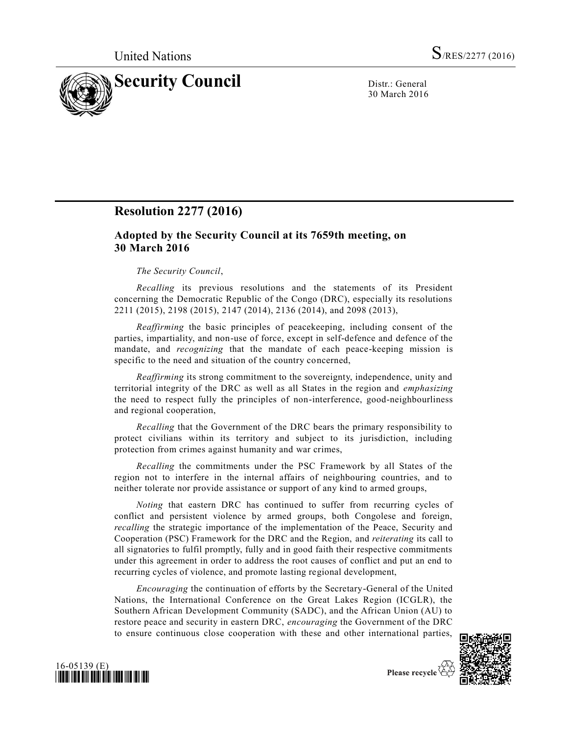

30 March 2016

# **Resolution 2277 (2016)**

## **Adopted by the Security Council at its 7659th meeting, on 30 March 2016**

## *The Security Council*,

*Recalling* its previous resolutions and the statements of its President concerning the Democratic Republic of the Congo (DRC), especially its resolutions 2211 (2015), 2198 (2015), 2147 (2014), 2136 (2014), and 2098 (2013),

*Reaffirming* the basic principles of peacekeeping, including consent of the parties, impartiality, and non-use of force, except in self-defence and defence of the mandate, and *recognizing* that the mandate of each peace-keeping mission is specific to the need and situation of the country concerned,

*Reaffirming* its strong commitment to the sovereignty, independence, unity and territorial integrity of the DRC as well as all States in the region and *emphasizing* the need to respect fully the principles of non-interference, good-neighbourliness and regional cooperation,

*Recalling* that the Government of the DRC bears the primary responsibility to protect civilians within its territory and subject to its jurisdiction, including protection from crimes against humanity and war crimes,

*Recalling* the commitments under the PSC Framework by all States of the region not to interfere in the internal affairs of neighbouring countries, and to neither tolerate nor provide assistance or support of any kind to armed groups,

*Noting* that eastern DRC has continued to suffer from recurring cycles of conflict and persistent violence by armed groups, both Congolese and foreign, *recalling* the strategic importance of the implementation of the Peace, Security and Cooperation (PSC) Framework for the DRC and the Region, and *reiterating* its call to all signatories to fulfil promptly, fully and in good faith their respective commitments under this agreement in order to address the root causes of conflict and put an end to recurring cycles of violence, and promote lasting regional development,

*Encouraging* the continuation of efforts by the Secretary-General of the United Nations, the International Conference on the Great Lakes Region (ICGLR), the Southern African Development Community (SADC), and the African Union (AU) to restore peace and security in eastern DRC, *encouraging* the Government of the DRC to ensure continuous close cooperation with these and other international parties,



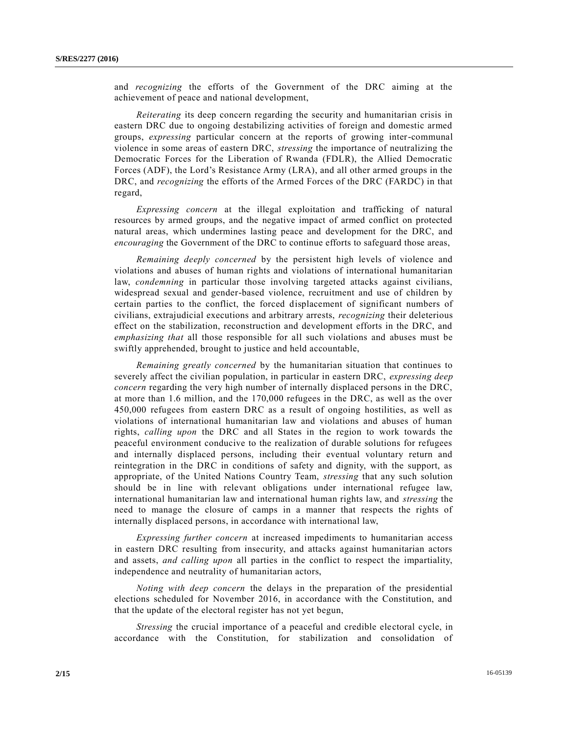and *recognizing* the efforts of the Government of the DRC aiming at the achievement of peace and national development,

*Reiterating* its deep concern regarding the security and humanitarian crisis in eastern DRC due to ongoing destabilizing activities of foreign and domestic armed groups, *expressing* particular concern at the reports of growing inter-communal violence in some areas of eastern DRC, *stressing* the importance of neutralizing the Democratic Forces for the Liberation of Rwanda (FDLR), the Allied Democratic Forces (ADF), the Lord's Resistance Army (LRA), and all other armed groups in the DRC, and *recognizing* the efforts of the Armed Forces of the DRC (FARDC) in that regard,

*Expressing concern* at the illegal exploitation and trafficking of natural resources by armed groups, and the negative impact of armed conflict on protected natural areas, which undermines lasting peace and development for the DRC, and *encouraging* the Government of the DRC to continue efforts to safeguard those areas,

*Remaining deeply concerned* by the persistent high levels of violence and violations and abuses of human rights and violations of international humanitarian law, *condemning* in particular those involving targeted attacks against civilians, widespread sexual and gender-based violence, recruitment and use of children by certain parties to the conflict, the forced displacement of significant numbers of civilians, extrajudicial executions and arbitrary arrests, *recognizing* their deleterious effect on the stabilization, reconstruction and development efforts in the DRC, and *emphasizing that* all those responsible for all such violations and abuses must be swiftly apprehended, brought to justice and held accountable,

*Remaining greatly concerned* by the humanitarian situation that continues to severely affect the civilian population, in particular in eastern DRC, *expressing deep concern* regarding the very high number of internally displaced persons in the DRC, at more than 1.6 million, and the 170,000 refugees in the DRC, as well as the over 450,000 refugees from eastern DRC as a result of ongoing hostilities, as well as violations of international humanitarian law and violations and abuses of human rights, *calling upon* the DRC and all States in the region to work towards the peaceful environment conducive to the realization of durable solutions for refugees and internally displaced persons, including their eventual voluntary return and reintegration in the DRC in conditions of safety and dignity, with the support, as appropriate, of the United Nations Country Team, *stressing* that any such solution should be in line with relevant obligations under international refugee law, international humanitarian law and international human rights law, and *stressing* the need to manage the closure of camps in a manner that respects the rights of internally displaced persons, in accordance with international law,

*Expressing further concern* at increased impediments to humanitarian access in eastern DRC resulting from insecurity, and attacks against humanitarian actors and assets, *and calling upon* all parties in the conflict to respect the impartiality, independence and neutrality of humanitarian actors,

*Noting with deep concern* the delays in the preparation of the presidential elections scheduled for November 2016, in accordance with the Constitution, and that the update of the electoral register has not yet begun,

*Stressing* the crucial importance of a peaceful and credible electoral cycle, in accordance with the Constitution, for stabilization and consolidation of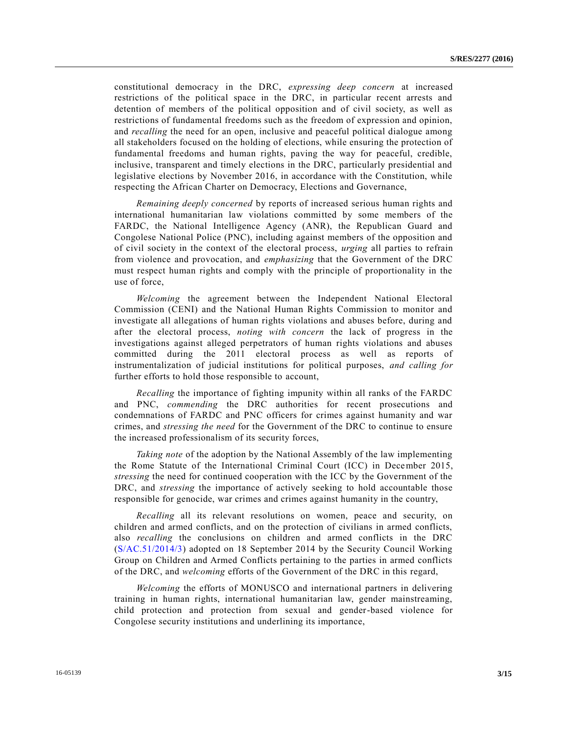constitutional democracy in the DRC, *expressing deep concern* at increased restrictions of the political space in the DRC, in particular recent arrests and detention of members of the political opposition and of civil society, as well as restrictions of fundamental freedoms such as the freedom of expression and opinion, and *recalling* the need for an open, inclusive and peaceful political dialogue among all stakeholders focused on the holding of elections, while ensuring the protection of fundamental freedoms and human rights, paving the way for peaceful, credible, inclusive, transparent and timely elections in the DRC, particularly presidential and legislative elections by November 2016, in accordance with the Constitution, while respecting the African Charter on Democracy, Elections and Governance,

*Remaining deeply concerned* by reports of increased serious human rights and international humanitarian law violations committed by some members of the FARDC, the National Intelligence Agency (ANR), the Republican Guard and Congolese National Police (PNC), including against members of the opposition and of civil society in the context of the electoral process, *urging* all parties to refrain from violence and provocation, and *emphasizing* that the Government of the DRC must respect human rights and comply with the principle of proportionality in the use of force,

*Welcoming* the agreement between the Independent National Electoral Commission (CENI) and the National Human Rights Commission to monitor and investigate all allegations of human rights violations and abuses before, during and after the electoral process, *noting with concern* the lack of progress in the investigations against alleged perpetrators of human rights violations and abuses committed during the 2011 electoral process as well as reports of instrumentalization of judicial institutions for political purposes, *and calling for* further efforts to hold those responsible to account,

*Recalling* the importance of fighting impunity within all ranks of the FARDC and PNC, *commending* the DRC authorities for recent prosecutions and condemnations of FARDC and PNC officers for crimes against humanity and war crimes, and *stressing the need* for the Government of the DRC to continue to ensure the increased professionalism of its security forces,

*Taking note* of the adoption by the National Assembly of the law implementing the Rome Statute of the International Criminal Court (ICC) in December 2015, *stressing* the need for continued cooperation with the ICC by the Government of the DRC, and *stressing* the importance of actively seeking to hold accountable those responsible for genocide, war crimes and crimes against humanity in the country,

*Recalling* all its relevant resolutions on women, peace and security, on children and armed conflicts, and on the protection of civilians in armed conflicts, also *recalling* the conclusions on children and armed conflicts in the DRC [\(S/AC.51/2014/3\)](http://undocs.org/S/AC.51/2014/3) adopted on 18 September 2014 by the Security Council Working Group on Children and Armed Conflicts pertaining to the parties in armed conflicts of the DRC, and *welcoming* efforts of the Government of the DRC in this regard,

*Welcoming* the efforts of MONUSCO and international partners in delivering training in human rights, international humanitarian law, gender mainstreaming, child protection and protection from sexual and gender-based violence for Congolese security institutions and underlining its importance,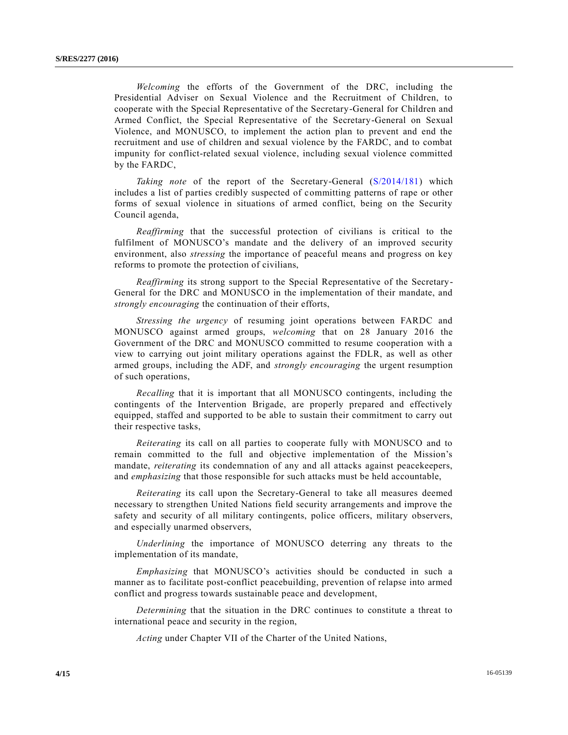*Welcoming* the efforts of the Government of the DRC, including the Presidential Adviser on Sexual Violence and the Recruitment of Children, to cooperate with the Special Representative of the Secretary-General for Children and Armed Conflict, the Special Representative of the Secretary-General on Sexual Violence, and MONUSCO, to implement the action plan to prevent and end the recruitment and use of children and sexual violence by the FARDC, and to combat impunity for conflict-related sexual violence, including sexual violence committed by the FARDC,

*Taking note* of the report of the Secretary-General [\(S/2014/181\)](http://undocs.org/S/2014/181) which includes a list of parties credibly suspected of committing patterns of rape or other forms of sexual violence in situations of armed conflict, being on the Security Council agenda,

*Reaffirming* that the successful protection of civilians is critical to the fulfilment of MONUSCO's mandate and the delivery of an improved security environment, also *stressing* the importance of peaceful means and progress on key reforms to promote the protection of civilians,

*Reaffirming* its strong support to the Special Representative of the Secretary-General for the DRC and MONUSCO in the implementation of their mandate, and *strongly encouraging* the continuation of their efforts,

*Stressing the urgency* of resuming joint operations between FARDC and MONUSCO against armed groups, *welcoming* that on 28 January 2016 the Government of the DRC and MONUSCO committed to resume cooperation with a view to carrying out joint military operations against the FDLR, as well as other armed groups, including the ADF, and *strongly encouraging* the urgent resumption of such operations,

*Recalling* that it is important that all MONUSCO contingents, including the contingents of the Intervention Brigade, are properly prepared and effectively equipped, staffed and supported to be able to sustain their commitment to carry out their respective tasks,

*Reiterating* its call on all parties to cooperate fully with MONUSCO and to remain committed to the full and objective implementation of the Mission's mandate, *reiterating* its condemnation of any and all attacks against peacekeepers, and *emphasizing* that those responsible for such attacks must be held accountable,

*Reiterating* its call upon the Secretary-General to take all measures deemed necessary to strengthen United Nations field security arrangements and improve the safety and security of all military contingents, police officers, military observers, and especially unarmed observers,

*Underlining* the importance of MONUSCO deterring any threats to the implementation of its mandate,

*Emphasizing* that MONUSCO's activities should be conducted in such a manner as to facilitate post-conflict peacebuilding, prevention of relapse into armed conflict and progress towards sustainable peace and development,

*Determining* that the situation in the DRC continues to constitute a threat to international peace and security in the region,

*Acting* under Chapter VII of the Charter of the United Nations,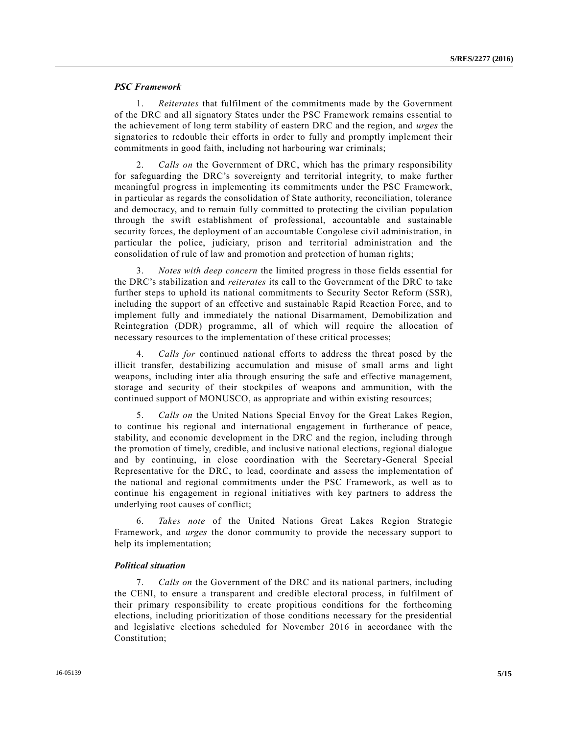## *PSC Framework*

1. *Reiterates* that fulfilment of the commitments made by the Government of the DRC and all signatory States under the PSC Framework remains essential to the achievement of long term stability of eastern DRC and the region, and *urges* the signatories to redouble their efforts in order to fully and promptly implement their commitments in good faith, including not harbouring war criminals;

2. *Calls on* the Government of DRC, which has the primary responsibility for safeguarding the DRC's sovereignty and territorial integrity, to make further meaningful progress in implementing its commitments under the PSC Framework, in particular as regards the consolidation of State authority, reconciliation, tolerance and democracy, and to remain fully committed to protecting the civilian population through the swift establishment of professional, accountable and sustainable security forces, the deployment of an accountable Congolese civil administration, in particular the police, judiciary, prison and territorial administration and the consolidation of rule of law and promotion and protection of human rights;

3. *Notes with deep concern* the limited progress in those fields essential for the DRC's stabilization and *reiterates* its call to the Government of the DRC to take further steps to uphold its national commitments to Security Sector Reform (SSR), including the support of an effective and sustainable Rapid Reaction Force, and to implement fully and immediately the national Disarmament, Demobilization and Reintegration (DDR) programme, all of which will require the allocation of necessary resources to the implementation of these critical processes;

4. *Calls for* continued national efforts to address the threat posed by the illicit transfer, destabilizing accumulation and misuse of small arms and light weapons, including inter alia through ensuring the safe and effective management, storage and security of their stockpiles of weapons and ammunition, with the continued support of MONUSCO, as appropriate and within existing resources;

5. *Calls on* the United Nations Special Envoy for the Great Lakes Region, to continue his regional and international engagement in furtherance of peace, stability, and economic development in the DRC and the region, including through the promotion of timely, credible, and inclusive national elections, regional dialogue and by continuing, in close coordination with the Secretary-General Special Representative for the DRC, to lead, coordinate and assess the implementation of the national and regional commitments under the PSC Framework, as well as to continue his engagement in regional initiatives with key partners to address the underlying root causes of conflict;

6. *Takes note* of the United Nations Great Lakes Region Strategic Framework, and *urges* the donor community to provide the necessary support to help its implementation;

#### *Political situation*

7. *Calls on* the Government of the DRC and its national partners, including the CENI, to ensure a transparent and credible electoral process, in fulfilment of their primary responsibility to create propitious conditions for the forthcoming elections, including prioritization of those conditions necessary for the presidential and legislative elections scheduled for November 2016 in accordance with the Constitution;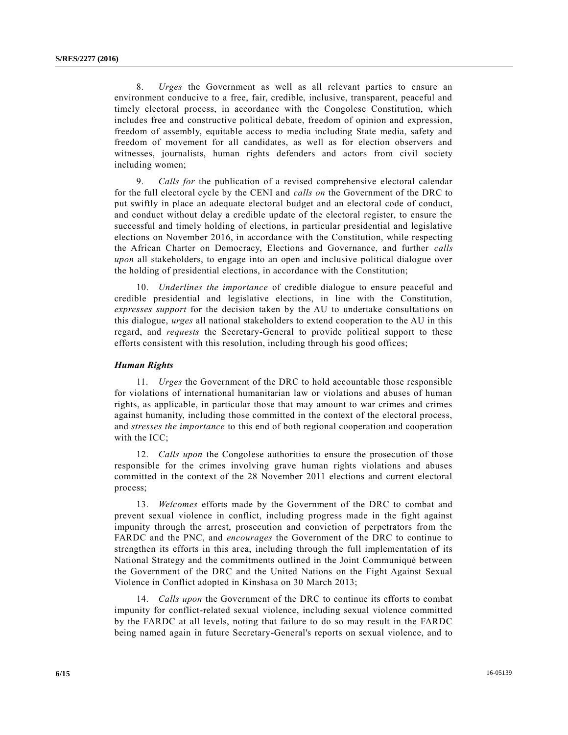8. *Urges* the Government as well as all relevant parties to ensure an environment conducive to a free, fair, credible, inclusive, transparent, peaceful and timely electoral process, in accordance with the Congolese Constitution, which includes free and constructive political debate, freedom of opinion and expression, freedom of assembly, equitable access to media including State media, safety and freedom of movement for all candidates, as well as for election observers and witnesses, journalists, human rights defenders and actors from civil society including women;

9. *Calls for* the publication of a revised comprehensive electoral calendar for the full electoral cycle by the CENI and *calls on* the Government of the DRC to put swiftly in place an adequate electoral budget and an electoral code of conduct, and conduct without delay a credible update of the electoral register, to ensure the successful and timely holding of elections, in particular presidential and legislative elections on November 2016, in accordance with the Constitution, while respecting the African Charter on Democracy, Elections and Governance, and further *calls upon* all stakeholders, to engage into an open and inclusive political dialogue over the holding of presidential elections, in accordance with the Constitution;

10. *Underlines the importance* of credible dialogue to ensure peaceful and credible presidential and legislative elections, in line with the Constitution, *expresses support* for the decision taken by the AU to undertake consultations on this dialogue, *urges* all national stakeholders to extend cooperation to the AU in this regard, and *requests* the Secretary-General to provide political support to these efforts consistent with this resolution, including through his good offices;

#### *Human Rights*

11. *Urges* the Government of the DRC to hold accountable those responsible for violations of international humanitarian law or violations and abuses of human rights, as applicable, in particular those that may amount to war crimes and crimes against humanity, including those committed in the context of the electoral process, and *stresses the importance* to this end of both regional cooperation and cooperation with the ICC;

12. *Calls upon* the Congolese authorities to ensure the prosecution of those responsible for the crimes involving grave human rights violations and abuses committed in the context of the 28 November 2011 elections and current electoral process;

13. *Welcomes* efforts made by the Government of the DRC to combat and prevent sexual violence in conflict, including progress made in the fight against impunity through the arrest, prosecution and conviction of perpetrators from the FARDC and the PNC, and *encourages* the Government of the DRC to continue to strengthen its efforts in this area, including through the full implementation of its National Strategy and the commitments outlined in the Joint Communiqué between the Government of the DRC and the United Nations on the Fight Against Sexual Violence in Conflict adopted in Kinshasa on 30 March 2013;

14. *Calls upon* the Government of the DRC to continue its efforts to combat impunity for conflict-related sexual violence, including sexual violence committed by the FARDC at all levels, noting that failure to do so may result in the FARDC being named again in future Secretary-General's reports on sexual violence, and to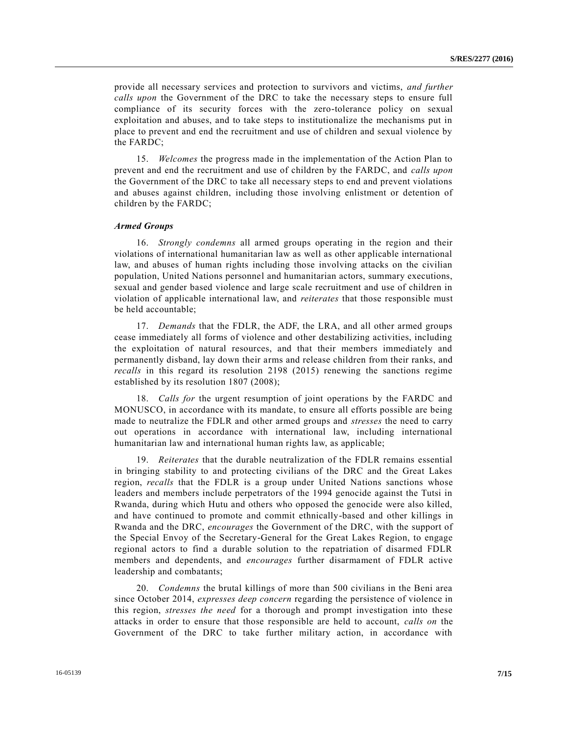provide all necessary services and protection to survivors and victims, *and further calls upon* the Government of the DRC to take the necessary steps to ensure full compliance of its security forces with the zero-tolerance policy on sexual exploitation and abuses, and to take steps to institutionalize the mechanisms put in place to prevent and end the recruitment and use of children and sexual violence by the FARDC;

15. *Welcomes* the progress made in the implementation of the Action Plan to prevent and end the recruitment and use of children by the FARDC, and *calls upon* the Government of the DRC to take all necessary steps to end and prevent violations and abuses against children, including those involving enlistment or detention of children by the FARDC;

#### *Armed Groups*

16. *Strongly condemns* all armed groups operating in the region and their violations of international humanitarian law as well as other applicable international law, and abuses of human rights including those involving attacks on the civilian population, United Nations personnel and humanitarian actors, summary executions, sexual and gender based violence and large scale recruitment and use of children in violation of applicable international law, and *reiterates* that those responsible must be held accountable;

17. *Demands* that the FDLR, the ADF, the LRA, and all other armed groups cease immediately all forms of violence and other destabilizing activities, including the exploitation of natural resources, and that their members immediately and permanently disband, lay down their arms and release children from their ranks, and *recalls* in this regard its resolution 2198 (2015) renewing the sanctions regime established by its resolution 1807 (2008);

18. *Calls for* the urgent resumption of joint operations by the FARDC and MONUSCO, in accordance with its mandate, to ensure all efforts possible are being made to neutralize the FDLR and other armed groups and *stresses* the need to carry out operations in accordance with international law, including international humanitarian law and international human rights law, as applicable;

19. *Reiterates* that the durable neutralization of the FDLR remains essential in bringing stability to and protecting civilians of the DRC and the Great Lakes region, *recalls* that the FDLR is a group under United Nations sanctions whose leaders and members include perpetrators of the 1994 genocide against the Tutsi in Rwanda, during which Hutu and others who opposed the genocide were also killed, and have continued to promote and commit ethnically-based and other killings in Rwanda and the DRC, *encourages* the Government of the DRC, with the support of the Special Envoy of the Secretary-General for the Great Lakes Region, to engage regional actors to find a durable solution to the repatriation of disarmed FDLR members and dependents, and *encourages* further disarmament of FDLR active leadership and combatants;

20. *Condemns* the brutal killings of more than 500 civilians in the Beni area since October 2014, *expresses deep concern* regarding the persistence of violence in this region, *stresses the need* for a thorough and prompt investigation into these attacks in order to ensure that those responsible are held to account, *calls on* the Government of the DRC to take further military action, in accordance with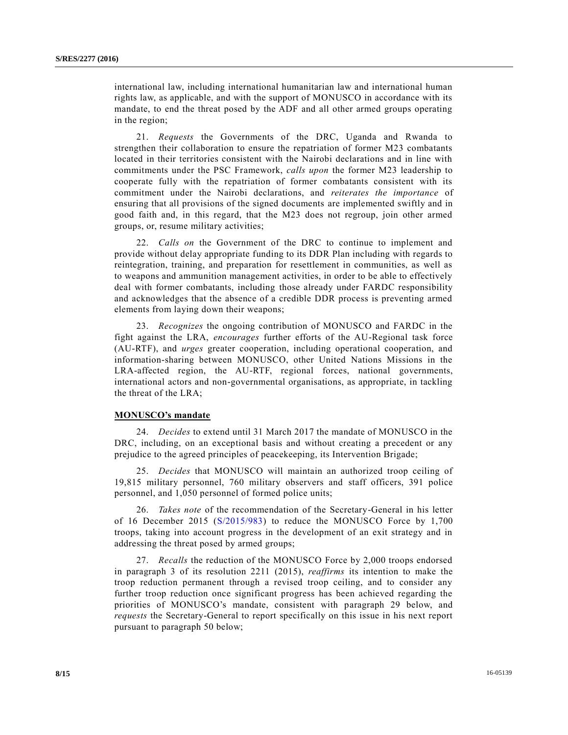international law, including international humanitarian law and international human rights law, as applicable, and with the support of MONUSCO in accordance with its mandate, to end the threat posed by the ADF and all other armed groups operating in the region;

21. *Requests* the Governments of the DRC, Uganda and Rwanda to strengthen their collaboration to ensure the repatriation of former M23 combatants located in their territories consistent with the Nairobi declarations and in line with commitments under the PSC Framework, *calls upon* the former M23 leadership to cooperate fully with the repatriation of former combatants consistent with its commitment under the Nairobi declarations, and *reiterates the importance* of ensuring that all provisions of the signed documents are implemented swiftly and in good faith and, in this regard, that the M23 does not regroup, join other armed groups, or, resume military activities;

22. *Calls on* the Government of the DRC to continue to implement and provide without delay appropriate funding to its DDR Plan including with regards to reintegration, training, and preparation for resettlement in communities, as well as to weapons and ammunition management activities, in order to be able to effectively deal with former combatants, including those already under FARDC responsibility and acknowledges that the absence of a credible DDR process is preventing armed elements from laying down their weapons;

23. *Recognizes* the ongoing contribution of MONUSCO and FARDC in the fight against the LRA, *encourages* further efforts of the AU-Regional task force (AU-RTF), and *urges* greater cooperation, including operational cooperation, and information-sharing between MONUSCO, other United Nations Missions in the LRA-affected region, the AU-RTF, regional forces, national governments, international actors and non-governmental organisations, as appropriate, in tackling the threat of the LRA;

### **MONUSCO's mandate**

24. *Decides* to extend until 31 March 2017 the mandate of MONUSCO in the DRC, including, on an exceptional basis and without creating a precedent or any prejudice to the agreed principles of peacekeeping, its Intervention Brigade;

25. *Decides* that MONUSCO will maintain an authorized troop ceiling of 19,815 military personnel, 760 military observers and staff officers, 391 police personnel, and 1,050 personnel of formed police units;

26. *Takes note* of the recommendation of the Secretary-General in his letter of 16 December 2015 [\(S/2015/983\)](http://undocs.org/S/2015/983) to reduce the MONUSCO Force by 1,700 troops, taking into account progress in the development of an exit strategy and in addressing the threat posed by armed groups;

27. *Recalls* the reduction of the MONUSCO Force by 2,000 troops endorsed in paragraph 3 of its resolution 2211 (2015), *reaffirms* its intention to make the troop reduction permanent through a revised troop ceiling, and to consider any further troop reduction once significant progress has been achieved regarding the priorities of MONUSCO's mandate, consistent with paragraph 29 below, and *requests* the Secretary-General to report specifically on this issue in his next report pursuant to paragraph 50 below;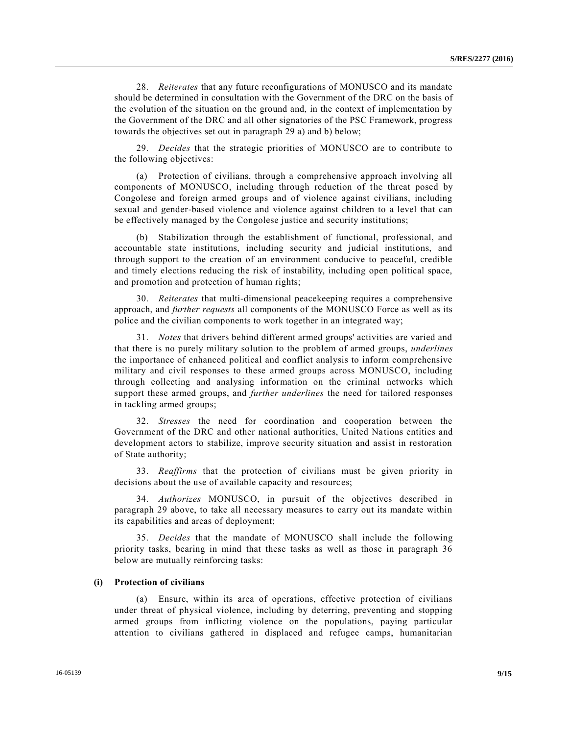28. *Reiterates* that any future reconfigurations of MONUSCO and its mandate should be determined in consultation with the Government of the DRC on the basis of the evolution of the situation on the ground and, in the context of implementation by the Government of the DRC and all other signatories of the PSC Framework, progress towards the objectives set out in paragraph 29 a) and b) below;

29. *Decides* that the strategic priorities of MONUSCO are to contribute to the following objectives:

(a) Protection of civilians, through a comprehensive approach involving all components of MONUSCO, including through reduction of the threat posed by Congolese and foreign armed groups and of violence against civilians, including sexual and gender-based violence and violence against children to a level that can be effectively managed by the Congolese justice and security institutions;

(b) Stabilization through the establishment of functional, professional, and accountable state institutions, including security and judicial institutions, and through support to the creation of an environment conducive to peaceful, credible and timely elections reducing the risk of instability, including open political space, and promotion and protection of human rights;

30. *Reiterates* that multi-dimensional peacekeeping requires a comprehensive approach, and *further requests* all components of the MONUSCO Force as well as its police and the civilian components to work together in an integrated way;

31. *Notes* that drivers behind different armed groups' activities are varied and that there is no purely military solution to the problem of armed groups, *underlines* the importance of enhanced political and conflict analysis to inform comprehensive military and civil responses to these armed groups across MONUSCO, including through collecting and analysing information on the criminal networks which support these armed groups, and *further underlines* the need for tailored responses in tackling armed groups;

32. *Stresses* the need for coordination and cooperation between the Government of the DRC and other national authorities, United Nations entities and development actors to stabilize, improve security situation and assist in restoration of State authority;

33. *Reaffirms* that the protection of civilians must be given priority in decisions about the use of available capacity and resources;

34. *Authorizes* MONUSCO, in pursuit of the objectives described in paragraph 29 above, to take all necessary measures to carry out its mandate within its capabilities and areas of deployment;

35. *Decides* that the mandate of MONUSCO shall include the following priority tasks, bearing in mind that these tasks as well as those in paragraph 36 below are mutually reinforcing tasks:

#### **(i) Protection of civilians**

(a) Ensure, within its area of operations, effective protection of civilians under threat of physical violence, including by deterring, preventing and stopping armed groups from inflicting violence on the populations, paying particular attention to civilians gathered in displaced and refugee camps, humanitarian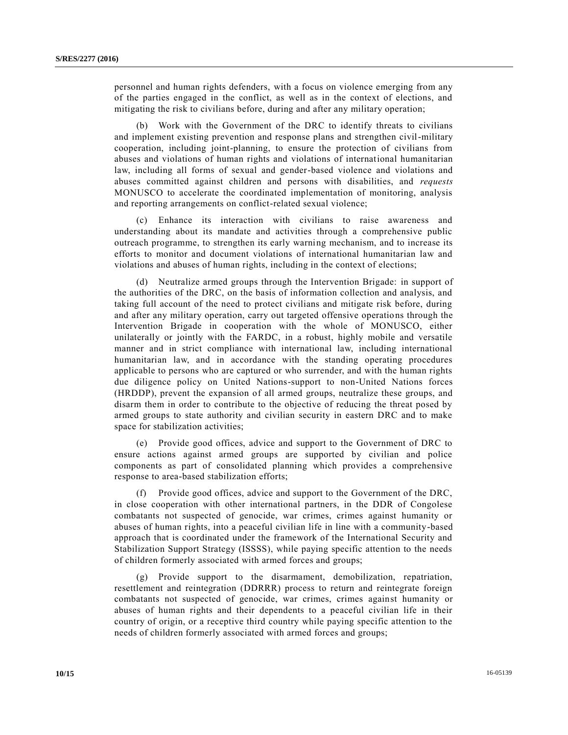personnel and human rights defenders, with a focus on violence emerging from any of the parties engaged in the conflict, as well as in the context of elections, and mitigating the risk to civilians before, during and after any military operation;

(b) Work with the Government of the DRC to identify threats to civilians and implement existing prevention and response plans and strengthen civil-military cooperation, including joint-planning, to ensure the protection of civilians from abuses and violations of human rights and violations of international humanitarian law, including all forms of sexual and gender-based violence and violations and abuses committed against children and persons with disabilities, and *requests* MONUSCO to accelerate the coordinated implementation of monitoring, analysis and reporting arrangements on conflict-related sexual violence;

(c) Enhance its interaction with civilians to raise awareness and understanding about its mandate and activities through a comprehensive public outreach programme, to strengthen its early warning mechanism, and to increase its efforts to monitor and document violations of international humanitarian law and violations and abuses of human rights, including in the context of elections;

(d) Neutralize armed groups through the Intervention Brigade: in support of the authorities of the DRC, on the basis of information collection and analysis, and taking full account of the need to protect civilians and mitigate risk before, during and after any military operation, carry out targeted offensive operatio ns through the Intervention Brigade in cooperation with the whole of MONUSCO, either unilaterally or jointly with the FARDC, in a robust, highly mobile and versatile manner and in strict compliance with international law, including international humanitarian law, and in accordance with the standing operating procedures applicable to persons who are captured or who surrender, and with the human rights due diligence policy on United Nations-support to non-United Nations forces (HRDDP), prevent the expansion of all armed groups, neutralize these groups, and disarm them in order to contribute to the objective of reducing the threat posed by armed groups to state authority and civilian security in eastern DRC and to make space for stabilization activities;

(e) Provide good offices, advice and support to the Government of DRC to ensure actions against armed groups are supported by civilian and police components as part of consolidated planning which provides a comprehensive response to area-based stabilization efforts;

(f) Provide good offices, advice and support to the Government of the DRC, in close cooperation with other international partners, in the DDR of Congolese combatants not suspected of genocide, war crimes, crimes against humanity or abuses of human rights, into a peaceful civilian life in line with a community-based approach that is coordinated under the framework of the International Security and Stabilization Support Strategy (ISSSS), while paying specific attention to the needs of children formerly associated with armed forces and groups;

(g) Provide support to the disarmament, demobilization, repatriation, resettlement and reintegration (DDRRR) process to return and reintegrate foreign combatants not suspected of genocide, war crimes, crimes against humanity or abuses of human rights and their dependents to a peaceful civilian life in their country of origin, or a receptive third country while paying specific attention to the needs of children formerly associated with armed forces and groups;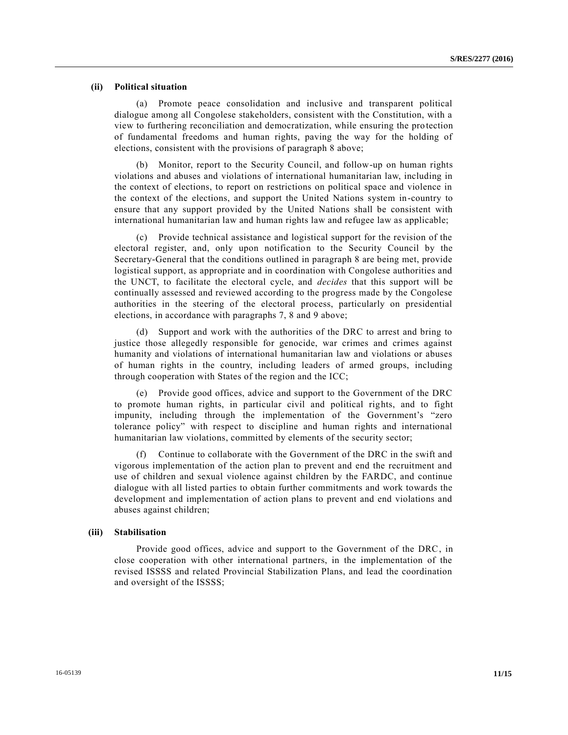## **(ii) Political situation**

(a) Promote peace consolidation and inclusive and transparent political dialogue among all Congolese stakeholders, consistent with the Constitution, with a view to furthering reconciliation and democratization, while ensuring the pro tection of fundamental freedoms and human rights, paving the way for the holding of elections, consistent with the provisions of paragraph 8 above;

(b) Monitor, report to the Security Council, and follow-up on human rights violations and abuses and violations of international humanitarian law, including in the context of elections, to report on restrictions on political space and violence in the context of the elections, and support the United Nations system in-country to ensure that any support provided by the United Nations shall be consistent with international humanitarian law and human rights law and refugee law as applicable;

(c) Provide technical assistance and logistical support for the revision of the electoral register, and, only upon notification to the Security Council by the Secretary-General that the conditions outlined in paragraph 8 are being met, provide logistical support, as appropriate and in coordination with Congolese authorities and the UNCT, to facilitate the electoral cycle, and *decides* that this support will be continually assessed and reviewed according to the progress made by the Congolese authorities in the steering of the electoral process, particularly on presidential elections, in accordance with paragraphs 7, 8 and 9 above;

(d) Support and work with the authorities of the DRC to arrest and bring to justice those allegedly responsible for genocide, war crimes and crimes against humanity and violations of international humanitarian law and violations or abuses of human rights in the country, including leaders of armed groups, including through cooperation with States of the region and the ICC;

(e) Provide good offices, advice and support to the Government of the DRC to promote human rights, in particular civil and political rights, and to fight impunity, including through the implementation of the Government's "zero tolerance policy" with respect to discipline and human rights and international humanitarian law violations, committed by elements of the security sector;

(f) Continue to collaborate with the Government of the DRC in the swift and vigorous implementation of the action plan to prevent and end the recruitment and use of children and sexual violence against children by the FARDC, and continue dialogue with all listed parties to obtain further commitments and work towards the development and implementation of action plans to prevent and end violations and abuses against children;

#### **(iii) Stabilisation**

Provide good offices, advice and support to the Government of the DRC, in close cooperation with other international partners, in the implementation of the revised ISSSS and related Provincial Stabilization Plans, and lead the coordination and oversight of the ISSSS;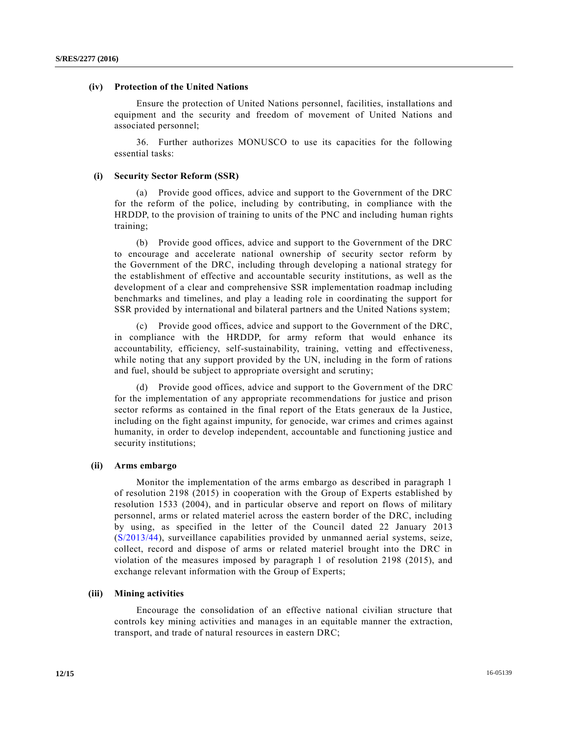## **(iv) Protection of the United Nations**

Ensure the protection of United Nations personnel, facilities, installations and equipment and the security and freedom of movement of United Nations and associated personnel;

36. Further authorizes MONUSCO to use its capacities for the following essential tasks:

#### **(i) Security Sector Reform (SSR)**

(a) Provide good offices, advice and support to the Government of the DRC for the reform of the police, including by contributing, in compliance with the HRDDP, to the provision of training to units of the PNC and including human rights training;

(b) Provide good offices, advice and support to the Government of the DRC to encourage and accelerate national ownership of security sector reform by the Government of the DRC, including through developing a national strategy for the establishment of effective and accountable security institutions, as well as the development of a clear and comprehensive SSR implementation roadmap including benchmarks and timelines, and play a leading role in coordinating the support for SSR provided by international and bilateral partners and the United Nations system;

(c) Provide good offices, advice and support to the Government of the DRC, in compliance with the HRDDP, for army reform that would enhance its accountability, efficiency, self-sustainability, training, vetting and effectiveness, while noting that any support provided by the UN, including in the form of rations and fuel, should be subject to appropriate oversight and scrutiny;

(d) Provide good offices, advice and support to the Government of the DRC for the implementation of any appropriate recommendations for justice and prison sector reforms as contained in the final report of the Etats generaux de la Justice, including on the fight against impunity, for genocide, war crimes and crimes against humanity, in order to develop independent, accountable and functioning justice and security institutions;

#### **(ii) Arms embargo**

Monitor the implementation of the arms embargo as described in paragraph 1 of resolution 2198 (2015) in cooperation with the Group of Experts established by resolution 1533 (2004), and in particular observe and report on flows of military personnel, arms or related materiel across the eastern border of the DRC, including by using, as specified in the letter of the Council dated 22 January 2013 [\(S/2013/44\)](http://undocs.org/S/2013/44), surveillance capabilities provided by unmanned aerial systems, seize, collect, record and dispose of arms or related materiel brought into the DRC in violation of the measures imposed by paragraph 1 of resolution 2198 (2015), and exchange relevant information with the Group of Experts;

#### **(iii) Mining activities**

Encourage the consolidation of an effective national civilian structure that controls key mining activities and manages in an equitable manner the extraction, transport, and trade of natural resources in eastern DRC;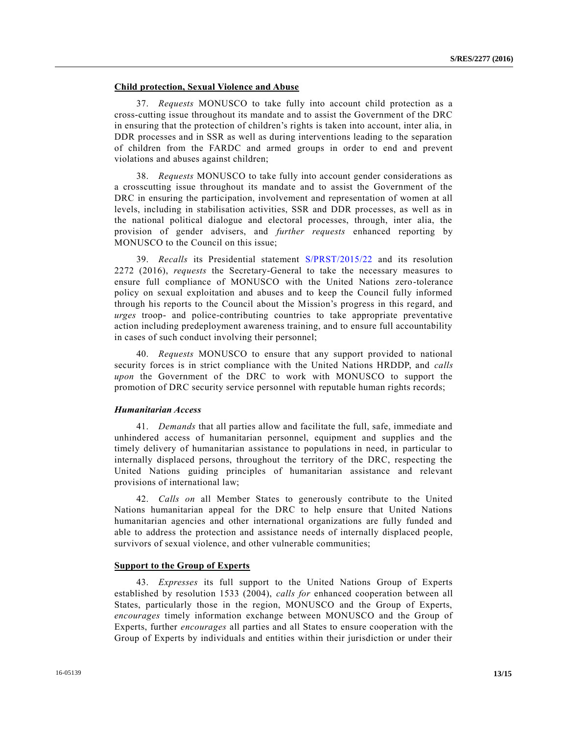## **Child protection, Sexual Violence and Abuse**

37. *Requests* MONUSCO to take fully into account child protection as a cross-cutting issue throughout its mandate and to assist the Government of the DRC in ensuring that the protection of children's rights is taken into account, inter alia, in DDR processes and in SSR as well as during interventions leading to the separation of children from the FARDC and armed groups in order to end and prevent violations and abuses against children;

38. *Requests* MONUSCO to take fully into account gender considerations as a crosscutting issue throughout its mandate and to assist the Government of the DRC in ensuring the participation, involvement and representation of women at all levels, including in stabilisation activities, SSR and DDR processes, as well as in the national political dialogue and electoral processes, through, inter alia, the provision of gender advisers, and *further requests* enhanced reporting by MONUSCO to the Council on this issue;

39. *Recalls* its Presidential statement [S/PRST/2015/22](http://undocs.org/S/PRST/2015/22) and its resolution 2272 (2016), *requests* the Secretary-General to take the necessary measures to ensure full compliance of MONUSCO with the United Nations zero-tolerance policy on sexual exploitation and abuses and to keep the Council fully informed through his reports to the Council about the Mission's progress in this regard, and *urges* troop- and police-contributing countries to take appropriate preventative action including predeployment awareness training, and to ensure full accountability in cases of such conduct involving their personnel;

40. *Requests* MONUSCO to ensure that any support provided to national security forces is in strict compliance with the United Nations HRDDP, and *calls upon* the Government of the DRC to work with MONUSCO to support the promotion of DRC security service personnel with reputable human rights records;

#### *Humanitarian Access*

41. *Demands* that all parties allow and facilitate the full, safe, immediate and unhindered access of humanitarian personnel, equipment and supplies and the timely delivery of humanitarian assistance to populations in need, in particular to internally displaced persons, throughout the territory of the DRC, respecting the United Nations guiding principles of humanitarian assistance and relevant provisions of international law;

42. *Calls on* all Member States to generously contribute to the United Nations humanitarian appeal for the DRC to help ensure that United Nations humanitarian agencies and other international organizations are fully funded and able to address the protection and assistance needs of internally displaced people, survivors of sexual violence, and other vulnerable communities;

## **Support to the Group of Experts**

43. *Expresses* its full support to the United Nations Group of Experts established by resolution 1533 (2004), *calls for* enhanced cooperation between all States, particularly those in the region, MONUSCO and the Group of Experts, *encourages* timely information exchange between MONUSCO and the Group of Experts, further *encourages* all parties and all States to ensure cooperation with the Group of Experts by individuals and entities within their jurisdiction or under their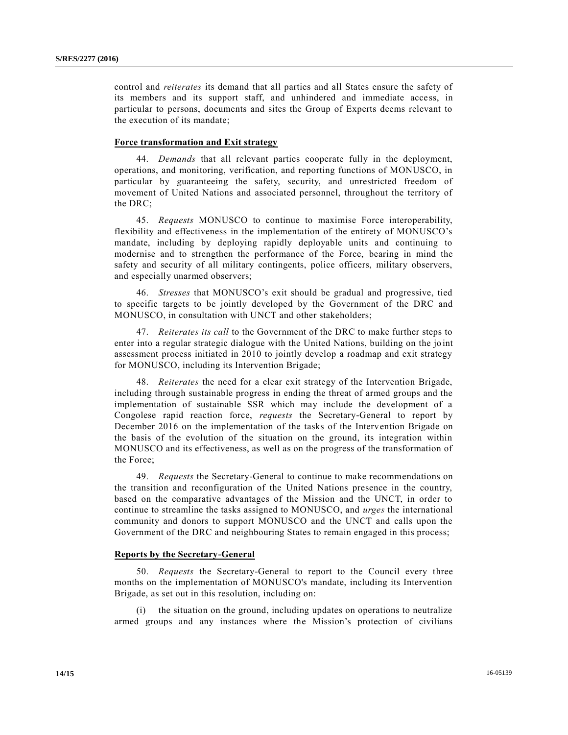control and *reiterates* its demand that all parties and all States ensure the safety of its members and its support staff, and unhindered and immediate access, in particular to persons, documents and sites the Group of Experts deems relevant to the execution of its mandate;

## **Force transformation and Exit strategy**

44. *Demands* that all relevant parties cooperate fully in the deployment, operations, and monitoring, verification, and reporting functions of MONUSCO, in particular by guaranteeing the safety, security, and unrestricted freedom of movement of United Nations and associated personnel, throughout the territory of the DRC;

45. *Requests* MONUSCO to continue to maximise Force interoperability, flexibility and effectiveness in the implementation of the entirety of MONUSCO's mandate, including by deploying rapidly deployable units and continuing to modernise and to strengthen the performance of the Force, bearing in mind the safety and security of all military contingents, police officers, military observers, and especially unarmed observers;

46. *Stresses* that MONUSCO's exit should be gradual and progressive, tied to specific targets to be jointly developed by the Government of the DRC and MONUSCO, in consultation with UNCT and other stakeholders;

47. *Reiterates its call* to the Government of the DRC to make further steps to enter into a regular strategic dialogue with the United Nations, building on the jo int assessment process initiated in 2010 to jointly develop a roadmap and exit strategy for MONUSCO, including its Intervention Brigade;

48. *Reiterates* the need for a clear exit strategy of the Intervention Brigade, including through sustainable progress in ending the threat of armed groups and the implementation of sustainable SSR which may include the development of a Congolese rapid reaction force, *requests* the Secretary-General to report by December 2016 on the implementation of the tasks of the Intervention Brigade on the basis of the evolution of the situation on the ground, its integration within MONUSCO and its effectiveness, as well as on the progress of the transformation of the Force;

49. *Requests* the Secretary-General to continue to make recommendations on the transition and reconfiguration of the United Nations presence in the country, based on the comparative advantages of the Mission and the UNCT, in order to continue to streamline the tasks assigned to MONUSCO, and *urges* the international community and donors to support MONUSCO and the UNCT and calls upon the Government of the DRC and neighbouring States to remain engaged in this process;

## **Reports by the Secretary-General**

50. *Requests* the Secretary-General to report to the Council every three months on the implementation of MONUSCO's mandate, including its Intervention Brigade, as set out in this resolution, including on:

(i) the situation on the ground, including updates on operations to neutralize armed groups and any instances where the Mission's protection of civilians